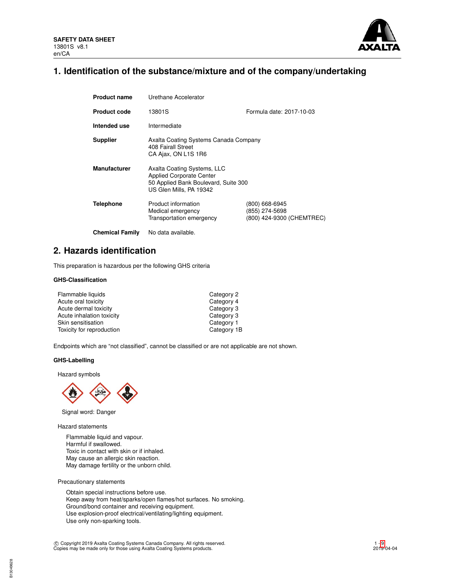

# **1. Identification of the substance/mixture and of the company/undertaking**

| <b>Product name</b>    | Urethane Accelerator                                                                                                              |                                                               |
|------------------------|-----------------------------------------------------------------------------------------------------------------------------------|---------------------------------------------------------------|
| <b>Product code</b>    | 13801S                                                                                                                            | Formula date: 2017-10-03                                      |
| Intended use           | Intermediate                                                                                                                      |                                                               |
| <b>Supplier</b>        | Axalta Coating Systems Canada Company<br>408 Fairall Street<br>CA Ajax, ON L1S 1R6                                                |                                                               |
| <b>Manufacturer</b>    | Axalta Coating Systems, LLC<br><b>Applied Corporate Center</b><br>50 Applied Bank Boulevard, Suite 300<br>US Glen Mills, PA 19342 |                                                               |
| <b>Telephone</b>       | Product information<br>Medical emergency<br>Transportation emergency                                                              | (800) 668-6945<br>(855) 274-5698<br>(800) 424-9300 (CHEMTREC) |
| <b>Chemical Family</b> | No data available.                                                                                                                |                                                               |

# **2. Hazards identification**

This preparation is hazardous per the following GHS criteria

## **GHS-Classification**

| Flammable liquids         | Category 2  |
|---------------------------|-------------|
| Acute oral toxicity       | Category 4  |
| Acute dermal toxicity     | Category 3  |
| Acute inhalation toxicity | Category 3  |
| Skin sensitisation        | Category 1  |
| Toxicity for reproduction | Category 1B |

Endpoints which are "not classified", cannot be classified or are not applicable are not shown.

# **GHS-Labelling**

Hazard symbols



Signal word: Danger

Hazard statements

Flammable liquid and vapour. Harmful if swallowed. Toxic in contact with skin or if inhaled. May cause an allergic skin reaction. May damage fertility or the unborn child.

Precautionary statements

Obtain special instructions before use. Keep away from heat/sparks/open flames/hot surfaces. No smoking. Ground/bond container and receiving equipment. Use explosion-proof electrical/ventilating/lighting equipment. Use only non-sparking tools.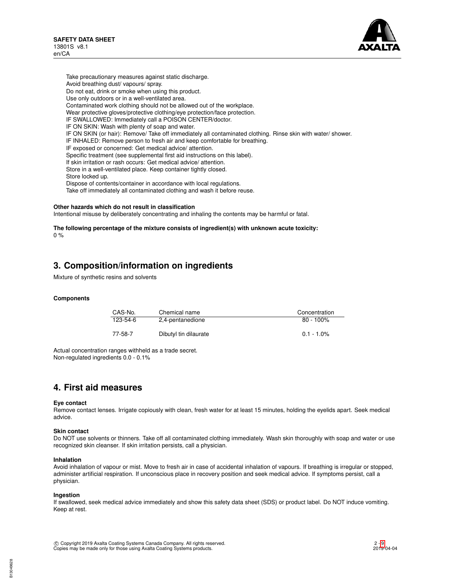

Take precautionary measures against static discharge. Avoid breathing dust/ vapours/ spray. Do not eat, drink or smoke when using this product. Use only outdoors or in a well-ventilated area. Contaminated work clothing should not be allowed out of the workplace. Wear protective gloves/protective clothing/eye protection/face protection. IF SWALLOWED: Immediately call a POISON CENTER/doctor. IF ON SKIN: Wash with plenty of soap and water. IF ON SKIN (or hair): Remove/ Take off immediately all contaminated clothing. Rinse skin with water/ shower. IF INHALED: Remove person to fresh air and keep comfortable for breathing. IF exposed or concerned: Get medical advice/ attention. Specific treatment (see supplemental first aid instructions on this label). If skin irritation or rash occurs: Get medical advice/ attention. Store in a well-ventilated place. Keep container tightly closed. Store locked up. Dispose of contents/container in accordance with local regulations. Take off immediately all contaminated clothing and wash it before reuse.

### **Other hazards which do not result in classification**

Intentional misuse by deliberately concentrating and inhaling the contents may be harmful or fatal.

**The following percentage of the mixture consists of ingredient(s) with unknown acute toxicity:**  $0 %$ 

# **3. Composition/information on ingredients**

Mixture of synthetic resins and solvents

### **Components**

| CAS-No.  | Chemical name         | Concentration |
|----------|-----------------------|---------------|
| 123-54-6 | 2,4-pentanedione      | $80 - 100\%$  |
| 77-58-7  | Dibutyl tin dilaurate | $0.1 - 1.0\%$ |

Actual concentration ranges withheld as a trade secret. Non-regulated ingredients 0.0 - 0.1%

# **4. First aid measures**

### **Eye contact**

Remove contact lenses. Irrigate copiously with clean, fresh water for at least 15 minutes, holding the eyelids apart. Seek medical advice.

### **Skin contact**

Do NOT use solvents or thinners. Take off all contaminated clothing immediately. Wash skin thoroughly with soap and water or use recognized skin cleanser. If skin irritation persists, call a physician.

### **Inhalation**

Avoid inhalation of vapour or mist. Move to fresh air in case of accidental inhalation of vapours. If breathing is irregular or stopped, administer artificial respiration. If unconscious place in recovery position and seek medical advice. If symptoms persist, call a physician.

### **Ingestion**

If swallowed, seek medical advice immediately and show this safety data sheet (SDS) or product label. Do NOT induce vomiting. Keep at rest.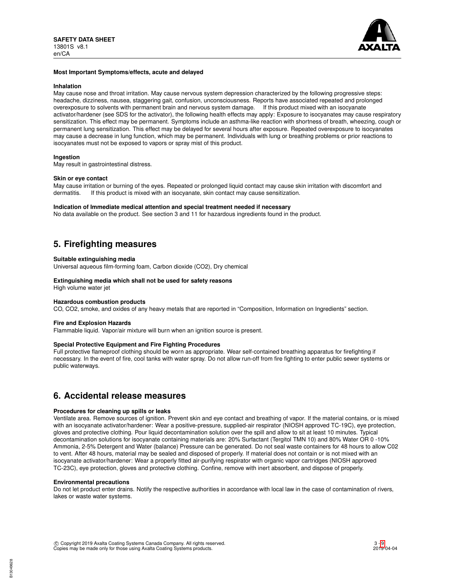

### **Most Important Symptoms/effects, acute and delayed**

#### **Inhalation**

May cause nose and throat irritation. May cause nervous system depression characterized by the following progressive steps: headache, dizziness, nausea, staggering gait, confusion, unconsciousness. Reports have associated repeated and prolonged overexposure to solvents with permanent brain and nervous system damage. If this product mixed with an isocyanate activator/hardener (see SDS for the activator), the following health effects may apply: Exposure to isocyanates may cause respiratory sensitization. This effect may be permanent. Symptoms include an asthma-like reaction with shortness of breath, wheezing, cough or permanent lung sensitization. This effect may be delayed for several hours after exposure. Repeated overexposure to isocyanates may cause a decrease in lung function, which may be permanent. Individuals with lung or breathing problems or prior reactions to isocyanates must not be exposed to vapors or spray mist of this product.

## **Ingestion**

May result in gastrointestinal distress.

### **Skin or eye contact**

May cause irritation or burning of the eyes. Repeated or prolonged liquid contact may cause skin irritation with discomfort and dermatitis. If this product is mixed with an isocvanate. Skin contact may cause sensitization. If this product is mixed with an isocyanate, skin contact may cause sensitization.

### **Indication of Immediate medical attention and special treatment needed if necessary**

No data available on the product. See section 3 and 11 for hazardous ingredients found in the product.

# **5. Firefighting measures**

### **Suitable extinguishing media**

Universal aqueous film-forming foam, Carbon dioxide (CO2), Dry chemical

# **Extinguishing media which shall not be used for safety reasons**

High volume water jet

## **Hazardous combustion products**

CO, CO2, smoke, and oxides of any heavy metals that are reported in "Composition, Information on Ingredients" section.

### **Fire and Explosion Hazards**

Flammable liquid. Vapor/air mixture will burn when an ignition source is present.

### **Special Protective Equipment and Fire Fighting Procedures**

Full protective flameproof clothing should be worn as appropriate. Wear self-contained breathing apparatus for firefighting if necessary. In the event of fire, cool tanks with water spray. Do not allow run-off from fire fighting to enter public sewer systems or public waterways.

# **6. Accidental release measures**

### **Procedures for cleaning up spills or leaks**

Ventilate area. Remove sources of ignition. Prevent skin and eye contact and breathing of vapor. If the material contains, or is mixed with an isocyanate activator/hardener: Wear a positive-pressure, supplied-air respirator (NIOSH approved TC-19C), eye protection, gloves and protective clothing. Pour liquid decontamination solution over the spill and allow to sit at least 10 minutes. Typical decontamination solutions for isocyanate containing materials are: 20% Surfactant (Tergitol TMN 10) and 80% Water OR 0 -10% Ammonia, 2-5% Detergent and Water (balance) Pressure can be generated. Do not seal waste containers for 48 hours to allow C02 to vent. After 48 hours, material may be sealed and disposed of properly. If material does not contain or is not mixed with an isocyanate activator/hardener: Wear a properly fitted air-purifying respirator with organic vapor cartridges (NIOSH approved TC-23C), eye protection, gloves and protective clothing. Confine, remove with inert absorbent, and dispose of properly.

### **Environmental precautions**

Do not let product enter drains. Notify the respective authorities in accordance with local law in the case of contamination of rivers, lakes or waste water systems.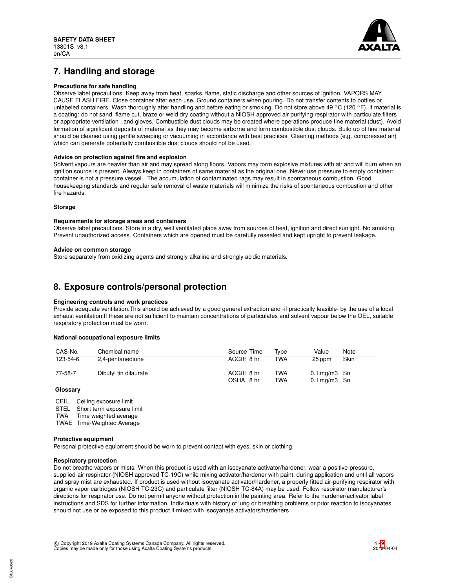

# **7. Handling and storage**

# **Precautions for safe handling**

Observe label precautions. Keep away from heat, sparks, flame, static discharge and other sources of ignition. VAPORS MAY CAUSE FLASH FIRE. Close container after each use. Ground containers when pouring. Do not transfer contents to bottles or unlabeled containers. Wash thoroughly after handling and before eating or smoking. Do not store above 49 °C (120 °F). If material is a coating: do not sand, flame cut, braze or weld dry coating without a NIOSH approved air purifying respirator with particulate filters or appropriate ventilation , and gloves. Combustible dust clouds may be created where operations produce fine material (dust). Avoid formation of significant deposits of material as they may become airborne and form combustible dust clouds. Build up of fine material should be cleaned using gentle sweeping or vacuuming in accordance with best practices. Cleaning methods (e.g. compressed air) which can generate potentially combustible dust clouds should not be used.

## **Advice on protection against fire and explosion**

Solvent vapours are heavier than air and may spread along floors. Vapors may form explosive mixtures with air and will burn when an ignition source is present. Always keep in containers of same material as the original one. Never use pressure to empty container: container is not a pressure vessel. The accumulation of contaminated rags may result in spontaneous combustion. Good housekeeping standards and regular safe removal of waste materials will minimize the risks of spontaneous combustion and other fire hazards.

## **Storage**

### **Requirements for storage areas and containers**

Observe label precautions. Store in a dry, well ventilated place away from sources of heat, ignition and direct sunlight. No smoking. Prevent unauthorized access. Containers which are opened must be carefully resealed and kept upright to prevent leakage.

### **Advice on common storage**

Store separately from oxidizing agents and strongly alkaline and strongly acidic materials.

# **8. Exposure controls/personal protection**

### **Engineering controls and work practices**

Provide adequate ventilation.This should be achieved by a good general extraction and -if practically feasible- by the use of a local exhaust ventilation.If these are not sufficient to maintain concentrations of particulates and solvent vapour below the OEL, suitable respiratory protection must be worn.

### **National occupational exposure limits**

| CAS-No.  | Chemical name         | Source Time             | Tvpe       | Value                                                   | Note |
|----------|-----------------------|-------------------------|------------|---------------------------------------------------------|------|
| 123-54-6 | 2,4-pentanedione      | ACGIH 8 hr              | TWA        | 25 ppm                                                  | Skin |
| 77-58-7  | Dibutyl tin dilaurate | ACGIH 8 hr<br>OSHA 8 hr | TWA<br>TWA | $0.1 \,\mathrm{mag/m3}$ Sn<br>$0.1 \,\mathrm{mq/m3}$ Sn |      |

### **Glossary**

CEIL Ceiling exposure limit

STEL Short term exposure limit<br>TWA Time weighted average

Time weighted average

TWAE Time-Weighted Average

### **Protective equipment**

Personal protective equipment should be worn to prevent contact with eyes, skin or clothing.

# **Respiratory protection**

Do not breathe vapors or mists. When this product is used with an isocyanate activator/hardener, wear a positive-pressure, supplied-air respirator (NIOSH approved TC-19C) while mixing activator/hardener with paint, during application and until all vapors and spray mist are exhausted. If product is used without isocyanate activator/hardener, a properly fitted air-purifying respirator with organic vapor cartridges (NIOSH TC-23C) and particulate filter (NIOSH TC-84A) may be used. Follow respirator manufacturer's directions for respirator use. Do not permit anyone without protection in the painting area. Refer to the hardener/activator label instructions and SDS for further information. Individuals with history of lung or breathing problems or prior reaction to isocyanates should not use or be exposed to this product if mixed with isocyanate activators/hardeners.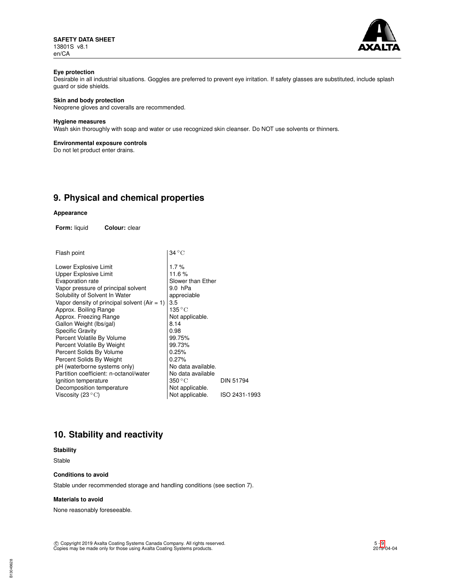**SAFETY DATA SHEET** 13801S v8.1 en/CA



# **Eye protection**

Desirable in all industrial situations. Goggles are preferred to prevent eye irritation. If safety glasses are substituted, include splash guard or side shields.

# **Skin and body protection**

Neoprene gloves and coveralls are recommended.

# **Hygiene measures**

Wash skin thoroughly with soap and water or use recognized skin cleanser. Do NOT use solvents or thinners.

## **Environmental exposure controls**

Do not let product enter drains.

# **9. Physical and chemical properties**

### **Appearance**

**Form:** liquid **Colour:** clear

| Flash point | $ 34^{\circ}$ C |  |
|-------------|-----------------|--|
|             |                 |  |

| Lower Explosive Limit                          | 1.7%                      |                  |
|------------------------------------------------|---------------------------|------------------|
| <b>Upper Explosive Limit</b>                   | 11.6%                     |                  |
| Evaporation rate                               | Slower than Ether         |                  |
| Vapor pressure of principal solvent            | 9.0 hPa                   |                  |
| Solubility of Solvent In Water                 | appreciable               |                  |
| Vapor density of principal solvent $(Air = 1)$ | 3.5                       |                  |
| Approx. Boiling Range                          | 135 ° C                   |                  |
| Approx. Freezing Range                         | Not applicable.           |                  |
| Gallon Weight (lbs/gal)                        | 8.14                      |                  |
| <b>Specific Gravity</b>                        | 0.98                      |                  |
| Percent Volatile By Volume                     | 99.75%                    |                  |
| Percent Volatile By Weight                     | 99.73%                    |                  |
| Percent Solids By Volume                       | 0.25%                     |                  |
| Percent Solids By Weight                       | 0.27%                     |                  |
| pH (waterborne systems only)                   | No data available.        |                  |
| Partition coefficient: n-octanol/water         | No data available         |                  |
| Ignition temperature                           | $350\,^{\circ}\mathrm{C}$ | <b>DIN 51794</b> |
| Decomposition temperature                      | Not applicable.           |                  |
| Viscosity (23 $\mathrm{^{\circ}C}$ )           | Not applicable.           | ISO 2431-1993    |
|                                                |                           |                  |

# **10. Stability and reactivity**

# **Stability**

Stable

## **Conditions to avoid**

Stable under recommended storage and handling conditions (see section 7).

#### **Materials to avoid**

None reasonably foreseeable.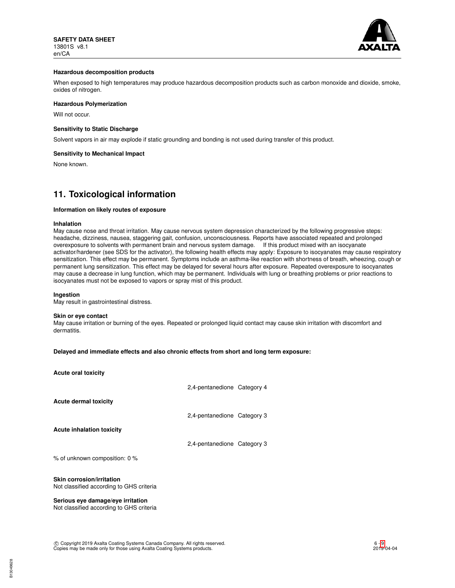

## **Hazardous decomposition products**

When exposed to high temperatures may produce hazardous decomposition products such as carbon monoxide and dioxide, smoke, oxides of nitrogen.

### **Hazardous Polymerization**

Will not occur.

### **Sensitivity to Static Discharge**

Solvent vapors in air may explode if static grounding and bonding is not used during transfer of this product.

### **Sensitivity to Mechanical Impact**

None known.

# **11. Toxicological information**

#### **Information on likely routes of exposure**

#### **Inhalation**

May cause nose and throat irritation. May cause nervous system depression characterized by the following progressive steps: headache, dizziness, nausea, staggering gait, confusion, unconsciousness. Reports have associated repeated and prolonged overexposure to solvents with permanent brain and nervous system damage. If this product mixed with an isocyanate activator/hardener (see SDS for the activator), the following health effects may apply: Exposure to isocyanates may cause respiratory sensitization. This effect may be permanent. Symptoms include an asthma-like reaction with shortness of breath, wheezing, cough or permanent lung sensitization. This effect may be delayed for several hours after exposure. Repeated overexposure to isocyanates may cause a decrease in lung function, which may be permanent. Individuals with lung or breathing problems or prior reactions to isocyanates must not be exposed to vapors or spray mist of this product.

### **Ingestion**

May result in gastrointestinal distress.

#### **Skin or eye contact**

May cause irritation or burning of the eyes. Repeated or prolonged liquid contact may cause skin irritation with discomfort and dermatitis.

## **Delayed and immediate effects and also chronic effects from short and long term exposure:**

| <b>Acute oral toxicity</b>                                                    |                             |  |
|-------------------------------------------------------------------------------|-----------------------------|--|
|                                                                               | 2,4-pentanedione Category 4 |  |
| Acute dermal toxicity                                                         |                             |  |
|                                                                               | 2,4-pentanedione Category 3 |  |
| <b>Acute inhalation toxicity</b>                                              |                             |  |
|                                                                               | 2.4-pentanedione Category 3 |  |
| % of unknown composition: 0 %                                                 |                             |  |
| Skin corrosion/irritation<br>Not classified according to GHS criteria         |                             |  |
| Serious eye damage/eye irritation<br>Not classified according to GHS criteria |                             |  |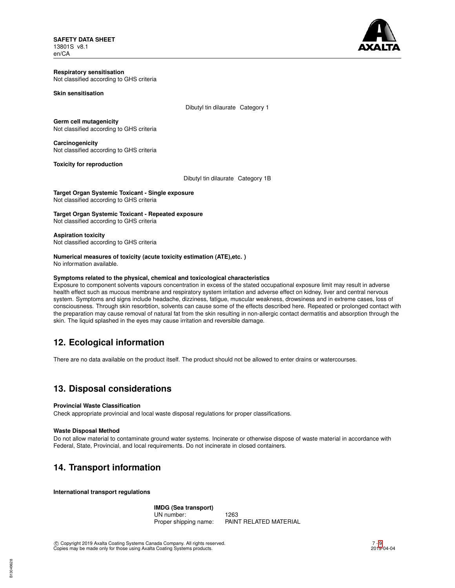**SAFETY DATA SHEET** 13801S v8.1 en/CA



#### **Respiratory sensitisation** Not classified according to GHS criteria

### **Skin sensitisation**

Dibutyl tin dilaurate Category 1

# **Germ cell mutagenicity**

Not classified according to GHS criteria

# **Carcinogenicity**

Not classified according to GHS criteria

# **Toxicity for reproduction**

Dibutyl tin dilaurate Category 1B

**Target Organ Systemic Toxicant - Single exposure** Not classified according to GHS criteria

### **Target Organ Systemic Toxicant - Repeated exposure** Not classified according to GHS criteria

# **Aspiration toxicity**

Not classified according to GHS criteria

### **Numerical measures of toxicity (acute toxicity estimation (ATE),etc. )** No information available.

## **Symptoms related to the physical, chemical and toxicological characteristics**

Exposure to component solvents vapours concentration in excess of the stated occupational exposure limit may result in adverse health effect such as mucous membrane and respiratory system irritation and adverse effect on kidney, liver and central nervous system. Symptoms and signs include headache, dizziness, fatigue, muscular weakness, drowsiness and in extreme cases, loss of consciousness. Through skin resorbtion, solvents can cause some of the effects described here. Repeated or prolonged contact with the preparation may cause removal of natural fat from the skin resulting in non-allergic contact dermatitis and absorption through the skin. The liquid splashed in the eyes may cause irritation and reversible damage.

# **12. Ecological information**

There are no data available on the product itself. The product should not be allowed to enter drains or watercourses.

# **13. Disposal considerations**

# **Provincial Waste Classification**

Check appropriate provincial and local waste disposal regulations for proper classifications.

# **Waste Disposal Method**

Do not allow material to contaminate ground water systems. Incinerate or otherwise dispose of waste material in accordance with Federal, State, Provincial, and local requirements. Do not incinerate in closed containers.

# **14. Transport information**

**International transport regulations**

# **IMDG (Sea transport)** UN number: 1263<br>Proper shipping name: PAIN PAINT RELATED MATERIAL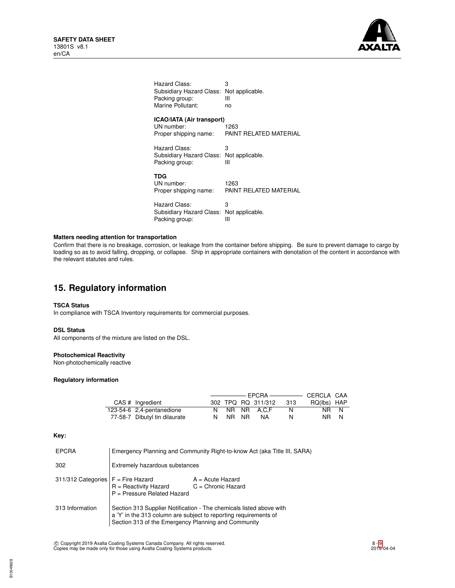

| Hazard Class:<br>Subsidiary Hazard Class: Not applicable.<br>Packing group:<br>Marine Pollutant: | 3<br>Ш<br>no           |
|--------------------------------------------------------------------------------------------------|------------------------|
| <b>ICAO/IATA (Air transport)</b>                                                                 |                        |
| UN number:                                                                                       | 1263                   |
| Proper shipping name:                                                                            | PAINT RELATED MATERIAL |
| Hazard Class:                                                                                    | 3                      |
| Subsidiary Hazard Class: Not applicable.                                                         |                        |
| Packing group:                                                                                   | Ш                      |
| TDG                                                                                              |                        |
| UN number:                                                                                       | 1263                   |
| Proper shipping name:                                                                            | PAINT RELATED MATERIAL |
| Hazard Class:                                                                                    | 3                      |
| Subsidiary Hazard Class: Not applicable.                                                         |                        |
| Packing group:                                                                                   | Ш                      |

# **Matters needing attention for transportation**

Confirm that there is no breakage, corrosion, or leakage from the container before shipping. Be sure to prevent damage to cargo by loading so as to avoid falling, dropping, or collapse. Ship in appropriate containers with denotation of the content in accordance with the relevant statutes and rules.

# **15. Regulatory information**

## **TSCA Status**

In compliance with TSCA Inventory requirements for commercial purposes.

# **DSL Status**

All components of the mixture are listed on the DSL.

# **Photochemical Reactivity**

Non-photochemically reactive

# **Regulatory information**

| CAS # Ingredient              |    |       | 302 TPQ RQ 311/312 | -313 | RQ(lbs) HAP |  |
|-------------------------------|----|-------|--------------------|------|-------------|--|
| 123-54-6 2,4-pentanedione     |    |       | NR NR A.C.F        | N.   | NR N        |  |
| 77-58-7 Dibutyl tin dilaurate | N. | NR NR | <b>NA</b>          | N    | NR N        |  |

## **Key:**

| <b>EPCRA</b>       |                                                                                                                                                                                                | Emergency Planning and Community Right-to-know Act (aka Title III, SARA) |
|--------------------|------------------------------------------------------------------------------------------------------------------------------------------------------------------------------------------------|--------------------------------------------------------------------------|
| 302                | Extremely hazardous substances                                                                                                                                                                 |                                                                          |
| 311/312 Categories | $F =$ Fire Hazard<br>$R =$ Reactivity Hazard<br>$P =$ Pressure Related Hazard                                                                                                                  | $A = Acute$ Hazard<br>$C =$ Chronic Hazard                               |
| 313 Information    | Section 313 Supplier Notification - The chemicals listed above with<br>a 'Y' in the 313 column are subject to reporting requirements of<br>Section 313 of the Emergency Planning and Community |                                                                          |